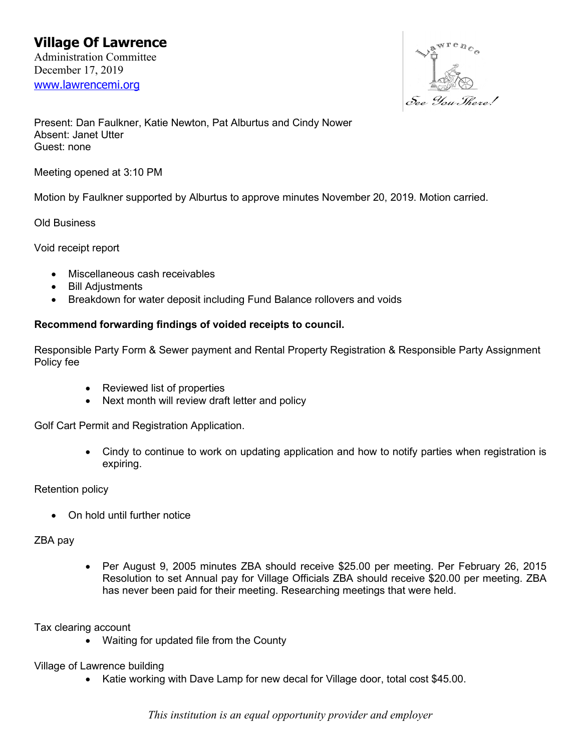

Present: Dan Faulkner, Katie Newton, Pat Alburtus and Cindy Nower Absent: Janet Utter Guest: none

Meeting opened at 3:10 PM

Motion by Faulkner supported by Alburtus to approve minutes November 20, 2019. Motion carried.

Old Business

Void receipt report

- Miscellaneous cash receivables
- Bill Adjustments
- Breakdown for water deposit including Fund Balance rollovers and voids

## **Recommend forwarding findings of voided receipts to council.**

Responsible Party Form & Sewer payment and Rental Property Registration & Responsible Party Assignment Policy fee

- Reviewed list of properties
- Next month will review draft letter and policy

Golf Cart Permit and Registration Application.

• Cindy to continue to work on updating application and how to notify parties when registration is expiring.

## Retention policy

• On hold until further notice

## ZBA pay

• Per August 9, 2005 minutes ZBA should receive \$25.00 per meeting. Per February 26, 2015 Resolution to set Annual pay for Village Officials ZBA should receive \$20.00 per meeting. ZBA has never been paid for their meeting. Researching meetings that were held.

Tax clearing account

• Waiting for updated file from the County

Village of Lawrence building

• Katie working with Dave Lamp for new decal for Village door, total cost \$45.00.

*This institution is an equal opportunity provider and employer*